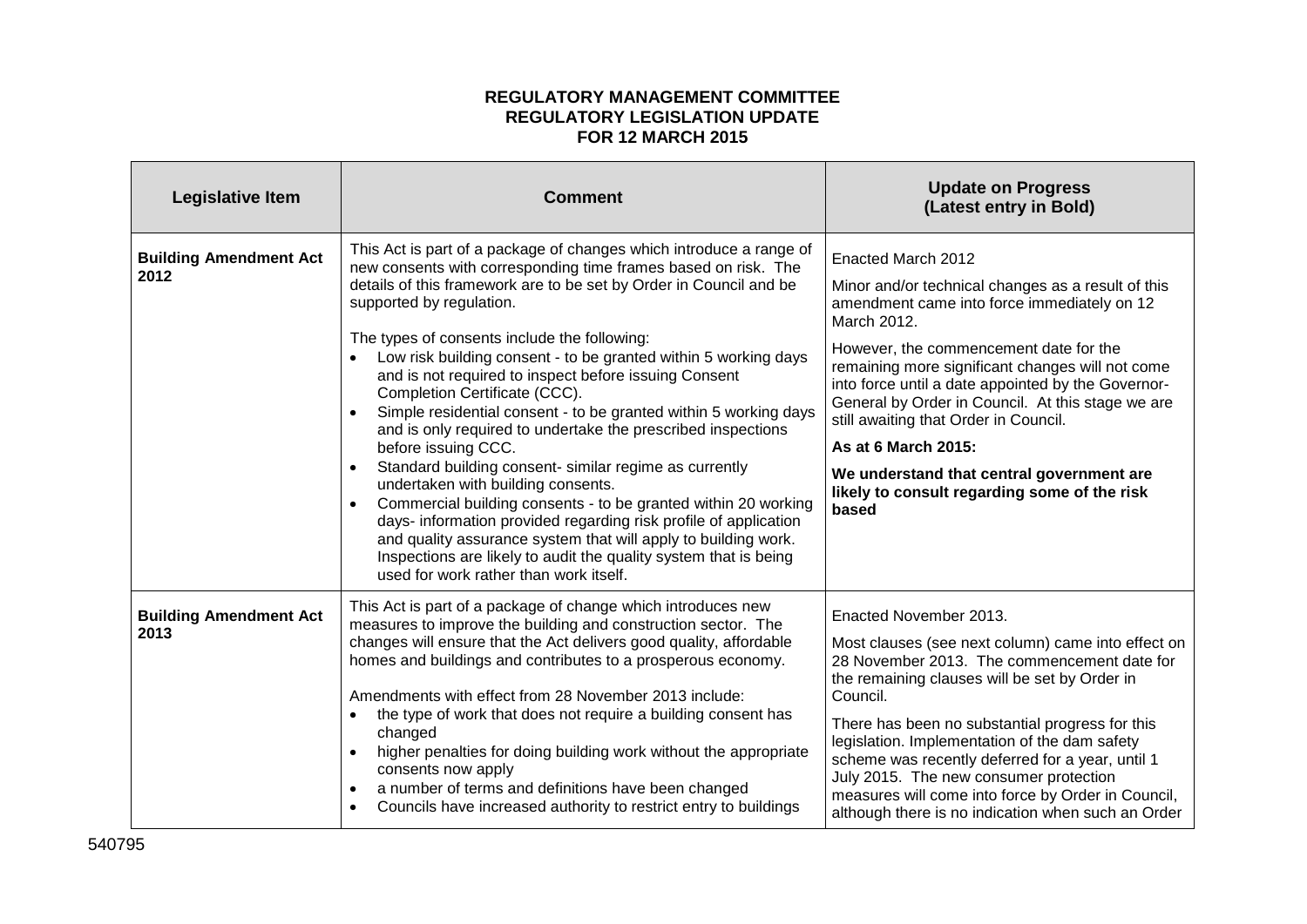## **REGULATORY MANAGEMENT COMMITTEE REGULATORY LEGISLATION UPDATE FOR 12 MARCH 2015**

| <b>Legislative Item</b>               | <b>Comment</b>                                                                                                                                                                                                                                                                                                                                                                                                                                                                                                                                                                                                                                                                                                                                                                                                                                                                                                                                                                                                                        | <b>Update on Progress</b><br>(Latest entry in Bold)                                                                                                                                                                                                                                                                                                                                                                                                                                                                   |
|---------------------------------------|---------------------------------------------------------------------------------------------------------------------------------------------------------------------------------------------------------------------------------------------------------------------------------------------------------------------------------------------------------------------------------------------------------------------------------------------------------------------------------------------------------------------------------------------------------------------------------------------------------------------------------------------------------------------------------------------------------------------------------------------------------------------------------------------------------------------------------------------------------------------------------------------------------------------------------------------------------------------------------------------------------------------------------------|-----------------------------------------------------------------------------------------------------------------------------------------------------------------------------------------------------------------------------------------------------------------------------------------------------------------------------------------------------------------------------------------------------------------------------------------------------------------------------------------------------------------------|
| <b>Building Amendment Act</b><br>2012 | This Act is part of a package of changes which introduce a range of<br>new consents with corresponding time frames based on risk. The<br>details of this framework are to be set by Order in Council and be<br>supported by regulation.<br>The types of consents include the following:<br>Low risk building consent - to be granted within 5 working days<br>and is not required to inspect before issuing Consent<br>Completion Certificate (CCC).<br>Simple residential consent - to be granted within 5 working days<br>and is only required to undertake the prescribed inspections<br>before issuing CCC.<br>Standard building consent- similar regime as currently<br>undertaken with building consents.<br>Commercial building consents - to be granted within 20 working<br>days- information provided regarding risk profile of application<br>and quality assurance system that will apply to building work.<br>Inspections are likely to audit the quality system that is being<br>used for work rather than work itself. | Enacted March 2012<br>Minor and/or technical changes as a result of this<br>amendment came into force immediately on 12<br>March 2012.<br>However, the commencement date for the<br>remaining more significant changes will not come<br>into force until a date appointed by the Governor-<br>General by Order in Council. At this stage we are<br>still awaiting that Order in Council.<br>As at 6 March 2015:<br>We understand that central government are<br>likely to consult regarding some of the risk<br>based |
| <b>Building Amendment Act</b><br>2013 | This Act is part of a package of change which introduces new<br>measures to improve the building and construction sector. The<br>changes will ensure that the Act delivers good quality, affordable<br>homes and buildings and contributes to a prosperous economy.<br>Amendments with effect from 28 November 2013 include:<br>the type of work that does not require a building consent has<br>changed<br>higher penalties for doing building work without the appropriate<br>consents now apply<br>a number of terms and definitions have been changed<br>Councils have increased authority to restrict entry to buildings                                                                                                                                                                                                                                                                                                                                                                                                         | Enacted November 2013.<br>Most clauses (see next column) came into effect on<br>28 November 2013. The commencement date for<br>the remaining clauses will be set by Order in<br>Council.<br>There has been no substantial progress for this<br>legislation. Implementation of the dam safety<br>scheme was recently deferred for a year, until 1<br>July 2015. The new consumer protection<br>measures will come into force by Order in Council,<br>although there is no indication when such an Order                |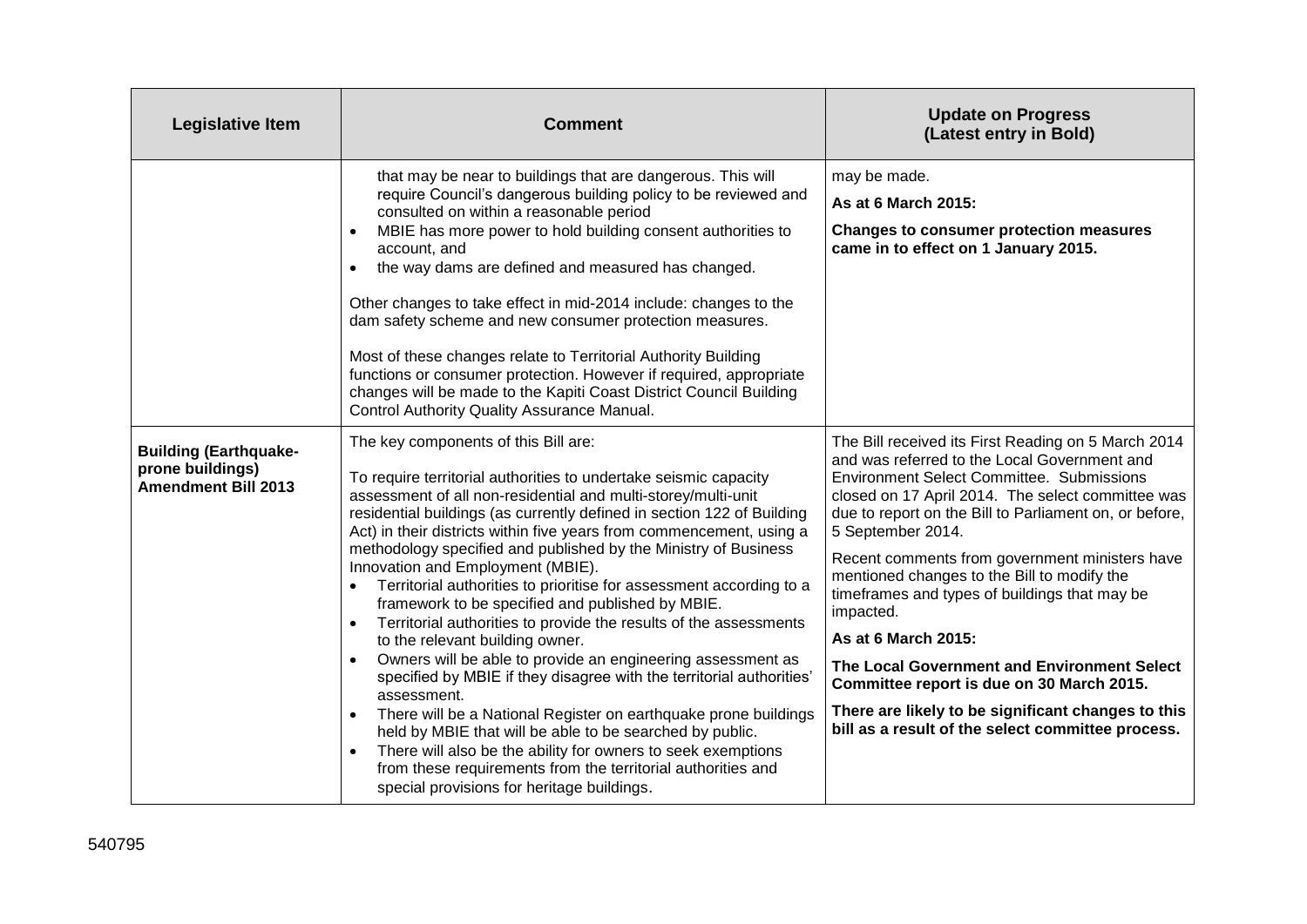| <b>Legislative Item</b>                                                        | <b>Comment</b>                                                                                                                                                                                                                                                                                                                                                                                                                                                                                                                                                                                                                                                                                                                                                                                                                                                                                                                                                                                                                                                                                                                                                      | <b>Update on Progress</b><br>(Latest entry in Bold)                                                                                                                                                                                                                                                                                                                                                                                                                                                                                                                                                                                                                                      |
|--------------------------------------------------------------------------------|---------------------------------------------------------------------------------------------------------------------------------------------------------------------------------------------------------------------------------------------------------------------------------------------------------------------------------------------------------------------------------------------------------------------------------------------------------------------------------------------------------------------------------------------------------------------------------------------------------------------------------------------------------------------------------------------------------------------------------------------------------------------------------------------------------------------------------------------------------------------------------------------------------------------------------------------------------------------------------------------------------------------------------------------------------------------------------------------------------------------------------------------------------------------|------------------------------------------------------------------------------------------------------------------------------------------------------------------------------------------------------------------------------------------------------------------------------------------------------------------------------------------------------------------------------------------------------------------------------------------------------------------------------------------------------------------------------------------------------------------------------------------------------------------------------------------------------------------------------------------|
|                                                                                | that may be near to buildings that are dangerous. This will<br>require Council's dangerous building policy to be reviewed and<br>consulted on within a reasonable period<br>MBIE has more power to hold building consent authorities to<br>account, and<br>the way dams are defined and measured has changed.<br>Other changes to take effect in mid-2014 include: changes to the<br>dam safety scheme and new consumer protection measures.<br>Most of these changes relate to Territorial Authority Building<br>functions or consumer protection. However if required, appropriate<br>changes will be made to the Kapiti Coast District Council Building<br>Control Authority Quality Assurance Manual.                                                                                                                                                                                                                                                                                                                                                                                                                                                           | may be made.<br>As at 6 March 2015:<br><b>Changes to consumer protection measures</b><br>came in to effect on 1 January 2015.                                                                                                                                                                                                                                                                                                                                                                                                                                                                                                                                                            |
| <b>Building (Earthquake-</b><br>prone buildings)<br><b>Amendment Bill 2013</b> | The key components of this Bill are:<br>To require territorial authorities to undertake seismic capacity<br>assessment of all non-residential and multi-storey/multi-unit<br>residential buildings (as currently defined in section 122 of Building<br>Act) in their districts within five years from commencement, using a<br>methodology specified and published by the Ministry of Business<br>Innovation and Employment (MBIE).<br>Territorial authorities to prioritise for assessment according to a<br>framework to be specified and published by MBIE.<br>Territorial authorities to provide the results of the assessments<br>$\bullet$<br>to the relevant building owner.<br>Owners will be able to provide an engineering assessment as<br>$\bullet$<br>specified by MBIE if they disagree with the territorial authorities'<br>assessment.<br>There will be a National Register on earthquake prone buildings<br>held by MBIE that will be able to be searched by public.<br>There will also be the ability for owners to seek exemptions<br>from these requirements from the territorial authorities and<br>special provisions for heritage buildings. | The Bill received its First Reading on 5 March 2014<br>and was referred to the Local Government and<br><b>Environment Select Committee. Submissions</b><br>closed on 17 April 2014. The select committee was<br>due to report on the Bill to Parliament on, or before,<br>5 September 2014.<br>Recent comments from government ministers have<br>mentioned changes to the Bill to modify the<br>timeframes and types of buildings that may be<br>impacted.<br>As at 6 March 2015:<br>The Local Government and Environment Select<br>Committee report is due on 30 March 2015.<br>There are likely to be significant changes to this<br>bill as a result of the select committee process. |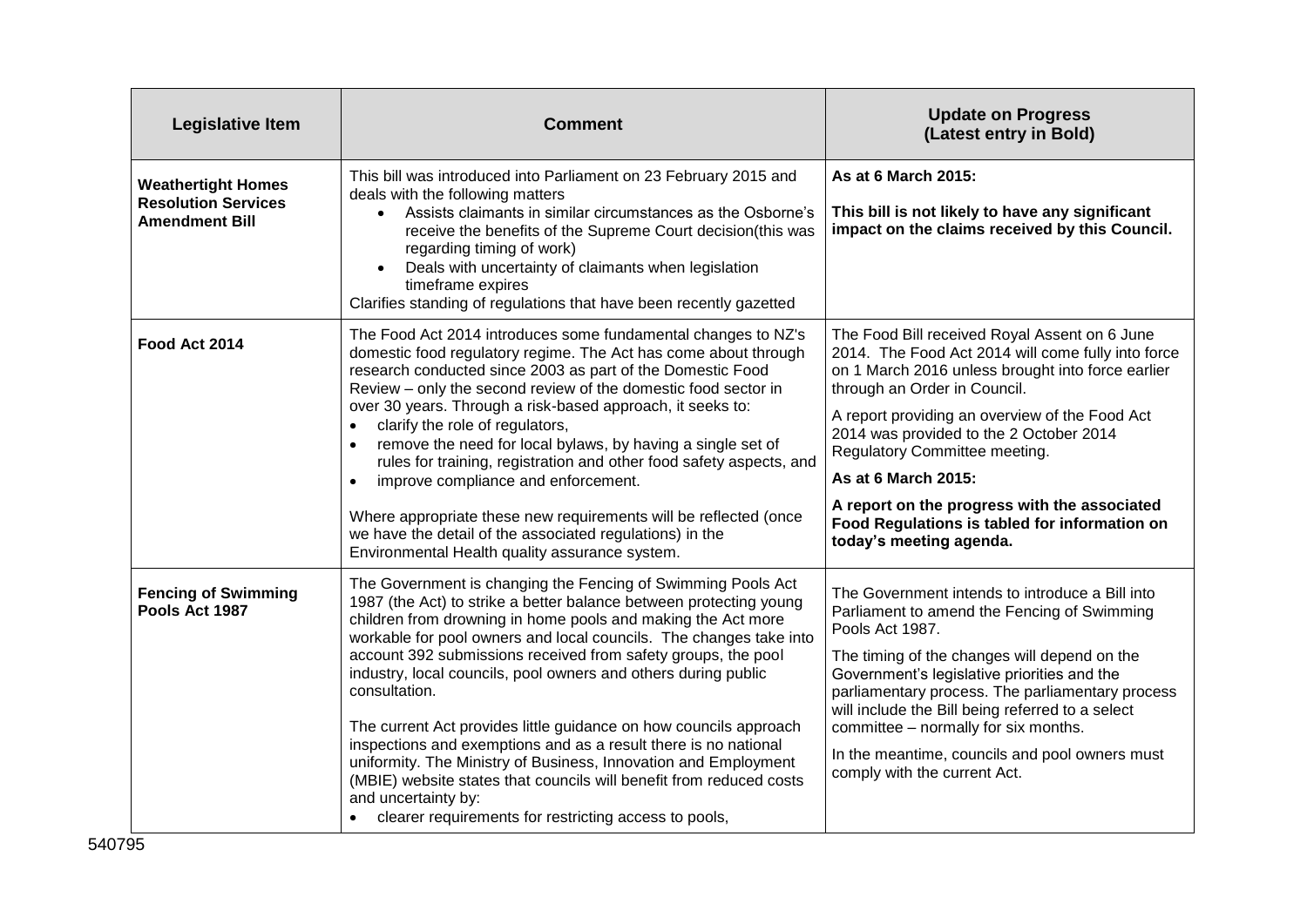| <b>Legislative Item</b>                                                          | <b>Comment</b>                                                                                                                                                                                                                                                                                                                                                                                                                                                                                                                                                                                                                                                                                                                                                                                 | <b>Update on Progress</b><br>(Latest entry in Bold)                                                                                                                                                                                                                                                                                                                                                                                                                       |
|----------------------------------------------------------------------------------|------------------------------------------------------------------------------------------------------------------------------------------------------------------------------------------------------------------------------------------------------------------------------------------------------------------------------------------------------------------------------------------------------------------------------------------------------------------------------------------------------------------------------------------------------------------------------------------------------------------------------------------------------------------------------------------------------------------------------------------------------------------------------------------------|---------------------------------------------------------------------------------------------------------------------------------------------------------------------------------------------------------------------------------------------------------------------------------------------------------------------------------------------------------------------------------------------------------------------------------------------------------------------------|
| <b>Weathertight Homes</b><br><b>Resolution Services</b><br><b>Amendment Bill</b> | This bill was introduced into Parliament on 23 February 2015 and<br>deals with the following matters<br>Assists claimants in similar circumstances as the Osborne's<br>$\bullet$<br>receive the benefits of the Supreme Court decision(this was<br>regarding timing of work)<br>Deals with uncertainty of claimants when legislation<br>timeframe expires<br>Clarifies standing of regulations that have been recently gazetted                                                                                                                                                                                                                                                                                                                                                                | As at 6 March 2015:<br>This bill is not likely to have any significant<br>impact on the claims received by this Council.                                                                                                                                                                                                                                                                                                                                                  |
| Food Act 2014                                                                    | The Food Act 2014 introduces some fundamental changes to NZ's<br>domestic food regulatory regime. The Act has come about through<br>research conducted since 2003 as part of the Domestic Food<br>Review - only the second review of the domestic food sector in<br>over 30 years. Through a risk-based approach, it seeks to:<br>clarify the role of regulators,<br>remove the need for local bylaws, by having a single set of<br>$\bullet$<br>rules for training, registration and other food safety aspects, and<br>improve compliance and enforcement.<br>Where appropriate these new requirements will be reflected (once<br>we have the detail of the associated regulations) in the<br>Environmental Health quality assurance system.                                                  | The Food Bill received Royal Assent on 6 June<br>2014. The Food Act 2014 will come fully into force<br>on 1 March 2016 unless brought into force earlier<br>through an Order in Council.<br>A report providing an overview of the Food Act<br>2014 was provided to the 2 October 2014<br>Regulatory Committee meeting.<br>As at 6 March 2015:<br>A report on the progress with the associated<br>Food Regulations is tabled for information on<br>today's meeting agenda. |
| <b>Fencing of Swimming</b><br>Pools Act 1987                                     | The Government is changing the Fencing of Swimming Pools Act<br>1987 (the Act) to strike a better balance between protecting young<br>children from drowning in home pools and making the Act more<br>workable for pool owners and local councils. The changes take into<br>account 392 submissions received from safety groups, the pool<br>industry, local councils, pool owners and others during public<br>consultation.<br>The current Act provides little guidance on how councils approach<br>inspections and exemptions and as a result there is no national<br>uniformity. The Ministry of Business, Innovation and Employment<br>(MBIE) website states that councils will benefit from reduced costs<br>and uncertainty by:<br>clearer requirements for restricting access to pools, | The Government intends to introduce a Bill into<br>Parliament to amend the Fencing of Swimming<br>Pools Act 1987.<br>The timing of the changes will depend on the<br>Government's legislative priorities and the<br>parliamentary process. The parliamentary process<br>will include the Bill being referred to a select<br>committee - normally for six months.<br>In the meantime, councils and pool owners must<br>comply with the current Act.                        |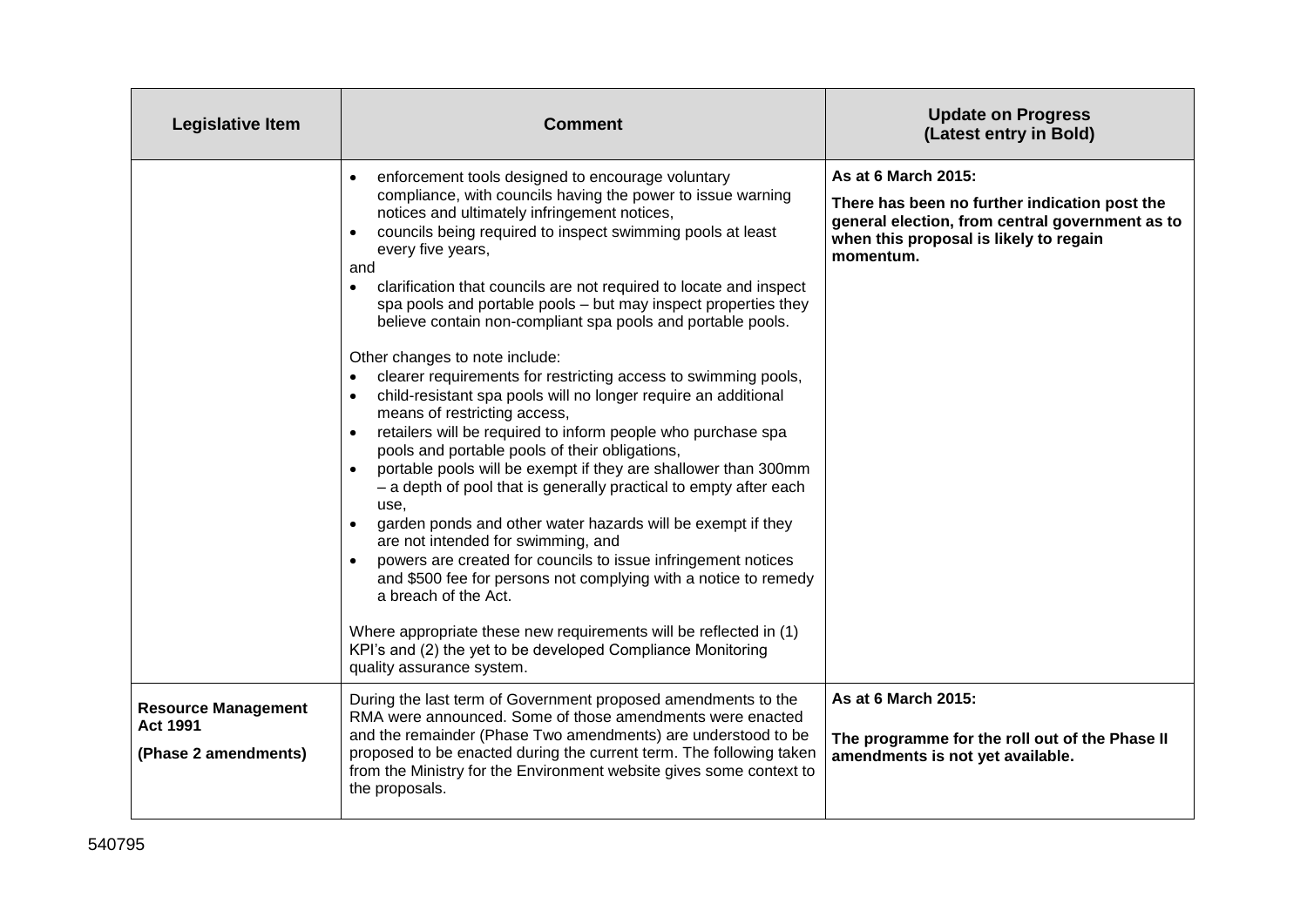| Legislative Item                                                      | <b>Comment</b>                                                                                                                                                                                                                                                                                                                                                                                                                                                                                                                                                                                                                                                                                                                                                                                                                                                                                                                                                                                                                                                                                                                                                                                                                                                                                                                                                                                                                 | <b>Update on Progress</b><br>(Latest entry in Bold)                                                                                                                            |
|-----------------------------------------------------------------------|--------------------------------------------------------------------------------------------------------------------------------------------------------------------------------------------------------------------------------------------------------------------------------------------------------------------------------------------------------------------------------------------------------------------------------------------------------------------------------------------------------------------------------------------------------------------------------------------------------------------------------------------------------------------------------------------------------------------------------------------------------------------------------------------------------------------------------------------------------------------------------------------------------------------------------------------------------------------------------------------------------------------------------------------------------------------------------------------------------------------------------------------------------------------------------------------------------------------------------------------------------------------------------------------------------------------------------------------------------------------------------------------------------------------------------|--------------------------------------------------------------------------------------------------------------------------------------------------------------------------------|
|                                                                       | enforcement tools designed to encourage voluntary<br>compliance, with councils having the power to issue warning<br>notices and ultimately infringement notices,<br>councils being required to inspect swimming pools at least<br>every five years,<br>and<br>clarification that councils are not required to locate and inspect<br>$\bullet$<br>spa pools and portable pools - but may inspect properties they<br>believe contain non-compliant spa pools and portable pools.<br>Other changes to note include:<br>clearer requirements for restricting access to swimming pools,<br>$\bullet$<br>child-resistant spa pools will no longer require an additional<br>$\bullet$<br>means of restricting access,<br>retailers will be required to inform people who purchase spa<br>$\bullet$<br>pools and portable pools of their obligations,<br>portable pools will be exempt if they are shallower than 300mm<br>- a depth of pool that is generally practical to empty after each<br>use,<br>garden ponds and other water hazards will be exempt if they<br>are not intended for swimming, and<br>powers are created for councils to issue infringement notices<br>and \$500 fee for persons not complying with a notice to remedy<br>a breach of the Act.<br>Where appropriate these new requirements will be reflected in (1)<br>KPI's and (2) the yet to be developed Compliance Monitoring<br>quality assurance system. | As at 6 March 2015:<br>There has been no further indication post the<br>general election, from central government as to<br>when this proposal is likely to regain<br>momentum. |
| <b>Resource Management</b><br><b>Act 1991</b><br>(Phase 2 amendments) | During the last term of Government proposed amendments to the<br>RMA were announced. Some of those amendments were enacted<br>and the remainder (Phase Two amendments) are understood to be<br>proposed to be enacted during the current term. The following taken<br>from the Ministry for the Environment website gives some context to<br>the proposals.                                                                                                                                                                                                                                                                                                                                                                                                                                                                                                                                                                                                                                                                                                                                                                                                                                                                                                                                                                                                                                                                    | As at 6 March 2015:<br>The programme for the roll out of the Phase II<br>amendments is not yet available.                                                                      |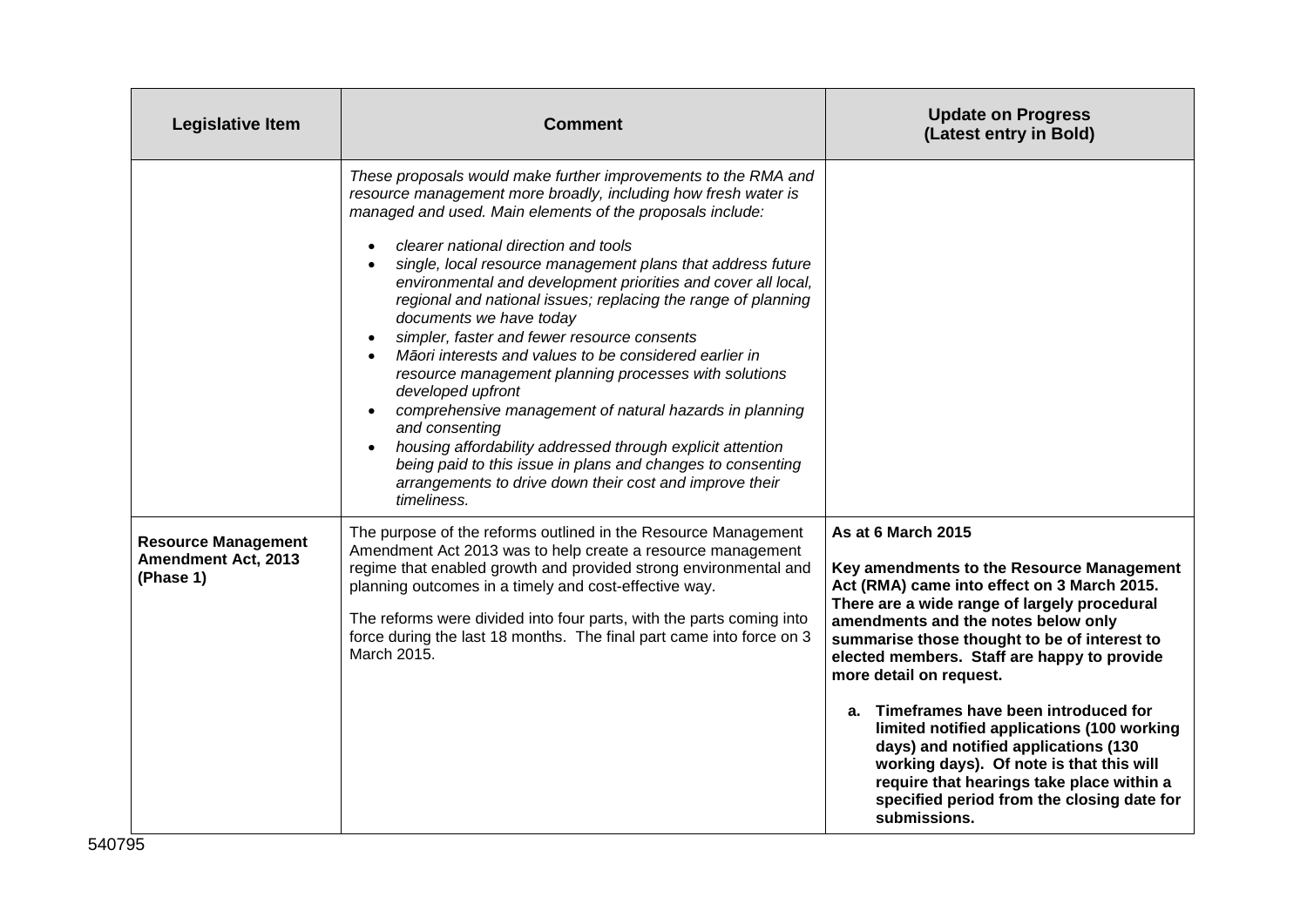| <b>Legislative Item</b>                                               | <b>Comment</b>                                                                                                                                                                                                                                                                                                                                                                                                                                                                                                                                                                                                                                                                                                                                                                                                                                                                                                                               | <b>Update on Progress</b><br>(Latest entry in Bold)                                                                                                                                                                                                                                                                                                                                                                                                                                                                                                                                                                    |
|-----------------------------------------------------------------------|----------------------------------------------------------------------------------------------------------------------------------------------------------------------------------------------------------------------------------------------------------------------------------------------------------------------------------------------------------------------------------------------------------------------------------------------------------------------------------------------------------------------------------------------------------------------------------------------------------------------------------------------------------------------------------------------------------------------------------------------------------------------------------------------------------------------------------------------------------------------------------------------------------------------------------------------|------------------------------------------------------------------------------------------------------------------------------------------------------------------------------------------------------------------------------------------------------------------------------------------------------------------------------------------------------------------------------------------------------------------------------------------------------------------------------------------------------------------------------------------------------------------------------------------------------------------------|
|                                                                       | These proposals would make further improvements to the RMA and<br>resource management more broadly, including how fresh water is<br>managed and used. Main elements of the proposals include:<br>clearer national direction and tools<br>single, local resource management plans that address future<br>environmental and development priorities and cover all local,<br>regional and national issues; replacing the range of planning<br>documents we have today<br>simpler, faster and fewer resource consents<br>Māori interests and values to be considered earlier in<br>resource management planning processes with solutions<br>developed upfront<br>comprehensive management of natural hazards in planning<br>and consenting<br>housing affordability addressed through explicit attention<br>being paid to this issue in plans and changes to consenting<br>arrangements to drive down their cost and improve their<br>timeliness. |                                                                                                                                                                                                                                                                                                                                                                                                                                                                                                                                                                                                                        |
| <b>Resource Management</b><br><b>Amendment Act, 2013</b><br>(Phase 1) | The purpose of the reforms outlined in the Resource Management<br>Amendment Act 2013 was to help create a resource management<br>regime that enabled growth and provided strong environmental and<br>planning outcomes in a timely and cost-effective way.<br>The reforms were divided into four parts, with the parts coming into<br>force during the last 18 months. The final part came into force on 3<br>March 2015.                                                                                                                                                                                                                                                                                                                                                                                                                                                                                                                    | As at 6 March 2015<br>Key amendments to the Resource Management<br>Act (RMA) came into effect on 3 March 2015.<br>There are a wide range of largely procedural<br>amendments and the notes below only<br>summarise those thought to be of interest to<br>elected members. Staff are happy to provide<br>more detail on request.<br>a. Timeframes have been introduced for<br>limited notified applications (100 working<br>days) and notified applications (130<br>working days). Of note is that this will<br>require that hearings take place within a<br>specified period from the closing date for<br>submissions. |